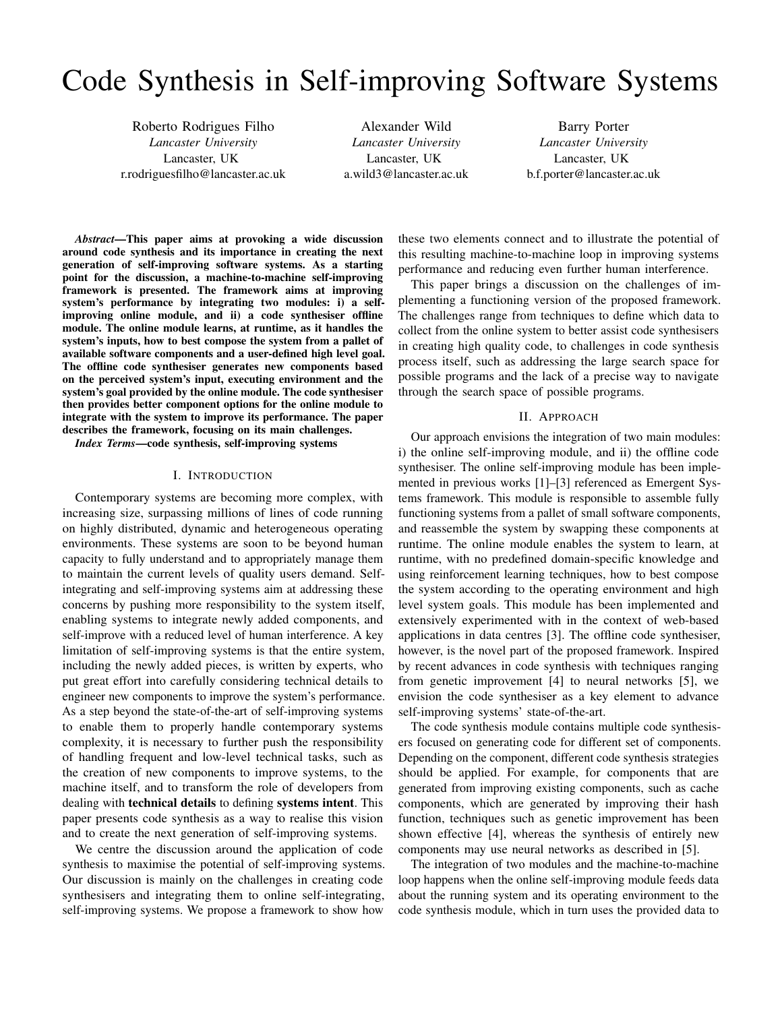# Code Synthesis in Self-improving Software Systems

Roberto Rodrigues Filho *Lancaster University* Lancaster, UK r.rodriguesfilho@lancaster.ac.uk

Alexander Wild *Lancaster University* Lancaster, UK a.wild3@lancaster.ac.uk

Barry Porter *Lancaster University* Lancaster, UK b.f.porter@lancaster.ac.uk

*Abstract*—This paper aims at provoking a wide discussion around code synthesis and its importance in creating the next generation of self-improving software systems. As a starting point for the discussion, a machine-to-machine self-improving framework is presented. The framework aims at improving system's performance by integrating two modules: i) a selfimproving online module, and ii) a code synthesiser offline module. The online module learns, at runtime, as it handles the system's inputs, how to best compose the system from a pallet of available software components and a user-defined high level goal. The offline code synthesiser generates new components based on the perceived system's input, executing environment and the system's goal provided by the online module. The code synthesiser then provides better component options for the online module to integrate with the system to improve its performance. The paper describes the framework, focusing on its main challenges.

*Index Terms*—code synthesis, self-improving systems

## I. INTRODUCTION

Contemporary systems are becoming more complex, with increasing size, surpassing millions of lines of code running on highly distributed, dynamic and heterogeneous operating environments. These systems are soon to be beyond human capacity to fully understand and to appropriately manage them to maintain the current levels of quality users demand. Selfintegrating and self-improving systems aim at addressing these concerns by pushing more responsibility to the system itself, enabling systems to integrate newly added components, and self-improve with a reduced level of human interference. A key limitation of self-improving systems is that the entire system, including the newly added pieces, is written by experts, who put great effort into carefully considering technical details to engineer new components to improve the system's performance. As a step beyond the state-of-the-art of self-improving systems to enable them to properly handle contemporary systems complexity, it is necessary to further push the responsibility of handling frequent and low-level technical tasks, such as the creation of new components to improve systems, to the machine itself, and to transform the role of developers from dealing with technical details to defining systems intent. This paper presents code synthesis as a way to realise this vision and to create the next generation of self-improving systems.

We centre the discussion around the application of code synthesis to maximise the potential of self-improving systems. Our discussion is mainly on the challenges in creating code synthesisers and integrating them to online self-integrating, self-improving systems. We propose a framework to show how

these two elements connect and to illustrate the potential of this resulting machine-to-machine loop in improving systems performance and reducing even further human interference.

This paper brings a discussion on the challenges of implementing a functioning version of the proposed framework. The challenges range from techniques to define which data to collect from the online system to better assist code synthesisers in creating high quality code, to challenges in code synthesis process itself, such as addressing the large search space for possible programs and the lack of a precise way to navigate through the search space of possible programs.

#### II. APPROACH

Our approach envisions the integration of two main modules: i) the online self-improving module, and ii) the offline code synthesiser. The online self-improving module has been implemented in previous works [1]–[3] referenced as Emergent Systems framework. This module is responsible to assemble fully functioning systems from a pallet of small software components, and reassemble the system by swapping these components at runtime. The online module enables the system to learn, at runtime, with no predefined domain-specific knowledge and using reinforcement learning techniques, how to best compose the system according to the operating environment and high level system goals. This module has been implemented and extensively experimented with in the context of web-based applications in data centres [3]. The offline code synthesiser, however, is the novel part of the proposed framework. Inspired by recent advances in code synthesis with techniques ranging from genetic improvement [4] to neural networks [5], we envision the code synthesiser as a key element to advance self-improving systems' state-of-the-art.

The code synthesis module contains multiple code synthesisers focused on generating code for different set of components. Depending on the component, different code synthesis strategies should be applied. For example, for components that are generated from improving existing components, such as cache components, which are generated by improving their hash function, techniques such as genetic improvement has been shown effective [4], whereas the synthesis of entirely new components may use neural networks as described in [5].

The integration of two modules and the machine-to-machine loop happens when the online self-improving module feeds data about the running system and its operating environment to the code synthesis module, which in turn uses the provided data to